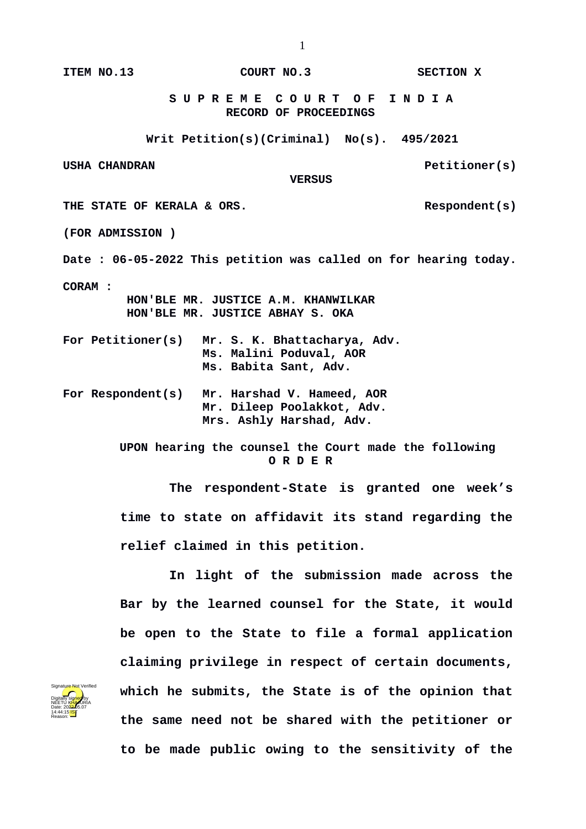**ITEM NO.13 COURT NO.3 SECTION X**

## **S U P R E M E C O U R T O F I N D I A RECORD OF PROCEEDINGS**

**Writ Petition(s)(Criminal) No(s). 495/2021**

**USHA CHANDRAN Petitioner(s)**

 **VERSUS**

THE STATE OF KERALA & ORS. Respondent(s)

**(FOR ADMISSION )**

**Date : 06-05-2022 This petition was called on for hearing today.**

**CORAM :** 

 **HON'BLE MR. JUSTICE A.M. KHANWILKAR HON'BLE MR. JUSTICE ABHAY S. OKA**

- **For Petitioner(s) Mr. S. K. Bhattacharya, Adv. Ms. Malini Poduval, AOR Ms. Babita Sant, Adv.**
- **For Respondent(s) Mr. Harshad V. Hameed, AOR Mr. Dileep Poolakkot, Adv. Mrs. Ashly Harshad, Adv.**

 **UPON hearing the counsel the Court made the following O R D E R**

**The respondent-State is granted one week's time to state on affidavit its stand regarding the relief claimed in this petition.**

**In light of the submission made across the Bar by the learned counsel for the State, it would be open to the State to file a formal application claiming privilege in respect of certain documents, which he submits, the State is of the opinion that the same need not be shared with the petitioner or to be made public owing to the sensitivity of the**